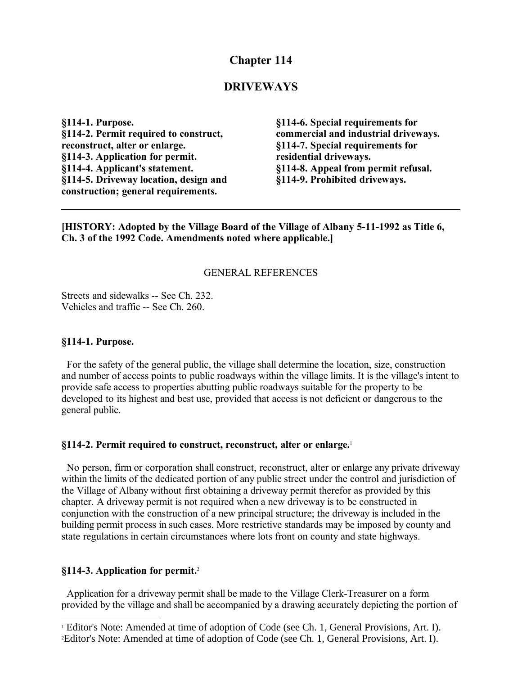## **Chapter 114**

#### **DRIVEWAYS**

**§114-1. Purpose. §114-2. Permit required to construct, reconstruct, alter or enlarge. §114-3. Application for permit. §114-4. Applicant's statement. §114-5. Driveway location, design and construction; general requirements.**

**§114-6. Special requirements for commercial and industrial driveways. §114-7. Special requirements for residential driveways. §114-8. Appeal from permit refusal. §114-9. Prohibited driveways.**

**[HISTORY: Adopted by the Village Board of the Village of Albany 5-11-1992 as Title 6, Ch. 3 of the 1992 Code. Amendments noted where applicable.]**

#### GENERAL REFERENCES

Streets and sidewalks -- See Ch. 232. Vehicles and traffic -- See Ch. 260.

#### **§114-1. Purpose.**

 For the safety of the general public, the village shall determine the location, size, construction and number of access points to public roadways within the village limits. It is the village's intent to provide safe access to properties abutting public roadways suitable for the property to be developed to its highest and best use, provided that access is not deficient or dangerous to the general public.

#### **§114-2. Permit required to construct, reconstruct, alter or enlarge.**[1](#page-0-0)

 No person, firm or corporation shall construct, reconstruct, alter or enlarge any private driveway within the limits of the dedicated portion of any public street under the control and jurisdiction of the Village of Albany without first obtaining a driveway permit therefor as provided by this chapter. A driveway permit is not required when a new driveway is to be constructed in conjunction with the construction of a new principal structure; the driveway is included in the building permit process in such cases. More restrictive standards may be imposed by county and state regulations in certain circumstances where lots front on county and state highways.

#### **§114-3. Application for permit.**[2](#page-0-1)

 Application for a driveway permit shall be made to the Village Clerk-Treasurer on a form provided by the village and shall be accompanied by a drawing accurately depicting the portion of

<span id="page-0-1"></span><span id="page-0-0"></span><sup>&</sup>lt;sup>1</sup> Editor's Note: Amended at time of adoption of Code (see Ch. 1, General Provisions, Art. I). 2Editor's Note: Amended at time of adoption of Code (see Ch. 1, General Provisions, Art. I).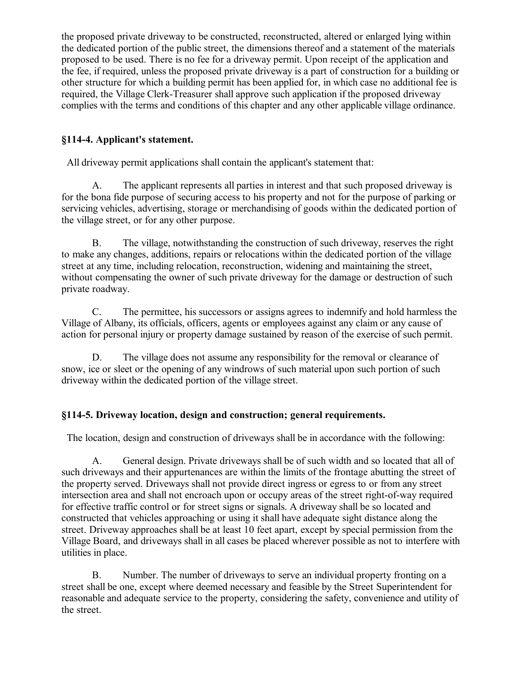the proposed private driveway to be constructed, reconstructed, altered or enlarged lying within the dedicated portion of the public street, the dimensions thereof and a statement of the materials proposed to be used. There is no fee for a driveway permit. Upon receipt of the application and the fee, if required, unless the proposed private driveway is a part of construction for a building or other structure for which a building permit has been applied for, in which case no additional fee is required, the Village Clerk-Treasurer shall approve such application if the proposed driveway complies with the terms and conditions of this chapter and any other applicable village ordinance.

## **§114-4. Applicant's statement.**

All driveway permit applications shall contain the applicant's statement that:

A. The applicant represents all parties in interest and that such proposed driveway is for the bona fide purpose of securing access to his property and not for the purpose of parking or servicing vehicles, advertising, storage or merchandising of goods within the dedicated portion of the village street, or for any other purpose.

B. The village, notwithstanding the construction of such driveway, reserves the right to make any changes, additions, repairs or relocations within the dedicated portion of the village street at any time, including relocation, reconstruction, widening and maintaining the street, without compensating the owner of such private driveway for the damage or destruction of such private roadway.

C. The permittee, his successors or assigns agrees to indemnify and hold harmless the Village of Albany, its officials, officers, agents or employees against any claim or any cause of action for personal injury or property damage sustained by reason of the exercise of such permit.

D. The village does not assume any responsibility for the removal or clearance of snow, ice or sleet or the opening of any windrows of such material upon such portion of such driveway within the dedicated portion of the village street.

## **§114-5. Driveway location, design and construction; general requirements.**

The location, design and construction of driveways shall be in accordance with the following:

A. General design. Private driveways shall be of such width and so located that all of such driveways and their appurtenances are within the limits of the frontage abutting the street of the property served. Driveways shall not provide direct ingress or egress to or from any street intersection area and shall not encroach upon or occupy areas of the street right-of-way required for effective traffic control or for street signs or signals. A driveway shall be so located and constructed that vehicles approaching or using it shall have adequate sight distance along the street. Driveway approaches shall be at least 10 feet apart, except by special permission from the Village Board, and driveways shall in all cases be placed wherever possible as not to interfere with utilities in place.

B. Number. The number of driveways to serve an individual property fronting on a street shall be one, except where deemed necessary and feasible by the Street Superintendent for reasonable and adequate service to the property, considering the safety, convenience and utility of the street.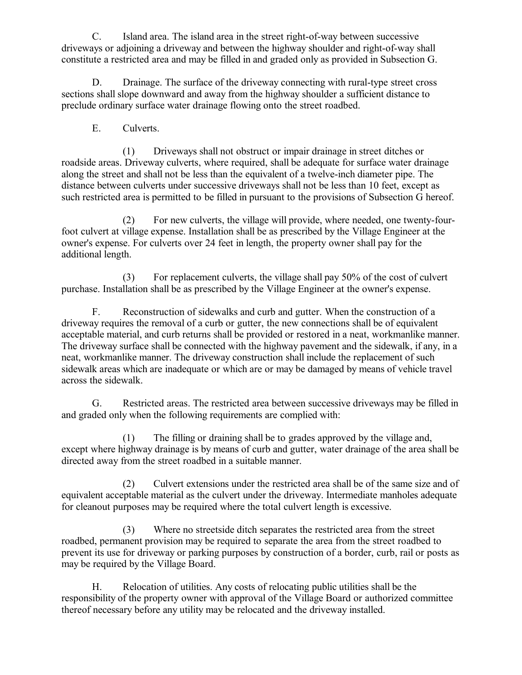C. Island area. The island area in the street right-of-way between successive driveways or adjoining a driveway and between the highway shoulder and right-of-way shall constitute a restricted area and may be filled in and graded only as provided in Subsection G.

D. Drainage. The surface of the driveway connecting with rural-type street cross sections shall slope downward and away from the highway shoulder a sufficient distance to preclude ordinary surface water drainage flowing onto the street roadbed.

E. Culverts.

(1) Driveways shall not obstruct or impair drainage in street ditches or roadside areas. Driveway culverts, where required, shall be adequate for surface water drainage along the street and shall not be less than the equivalent of a twelve-inch diameter pipe. The distance between culverts under successive driveways shall not be less than 10 feet, except as such restricted area is permitted to be filled in pursuant to the provisions of Subsection G hereof.

(2) For new culverts, the village will provide, where needed, one twenty-fourfoot culvert at village expense. Installation shall be as prescribed by the Village Engineer at the owner's expense. For culverts over 24 feet in length, the property owner shall pay for the additional length.

(3) For replacement culverts, the village shall pay 50% of the cost of culvert purchase. Installation shall be as prescribed by the Village Engineer at the owner's expense.

F. Reconstruction of sidewalks and curb and gutter. When the construction of a driveway requires the removal of a curb or gutter, the new connections shall be of equivalent acceptable material, and curb returns shall be provided or restored in a neat, workmanlike manner. The driveway surface shall be connected with the highway pavement and the sidewalk, if any, in a neat, workmanlike manner. The driveway construction shall include the replacement of such sidewalk areas which are inadequate or which are or may be damaged by means of vehicle travel across the sidewalk.

G. Restricted areas. The restricted area between successive driveways may be filled in and graded only when the following requirements are complied with:

(1) The filling or draining shall be to grades approved by the village and, except where highway drainage is by means of curb and gutter, water drainage of the area shall be directed away from the street roadbed in a suitable manner.

(2) Culvert extensions under the restricted area shall be of the same size and of equivalent acceptable material as the culvert under the driveway. Intermediate manholes adequate for cleanout purposes may be required where the total culvert length is excessive.

(3) Where no streetside ditch separates the restricted area from the street roadbed, permanent provision may be required to separate the area from the street roadbed to prevent its use for driveway or parking purposes by construction of a border, curb, rail or posts as may be required by the Village Board.

H. Relocation of utilities. Any costs of relocating public utilities shall be the responsibility of the property owner with approval of the Village Board or authorized committee thereof necessary before any utility may be relocated and the driveway installed.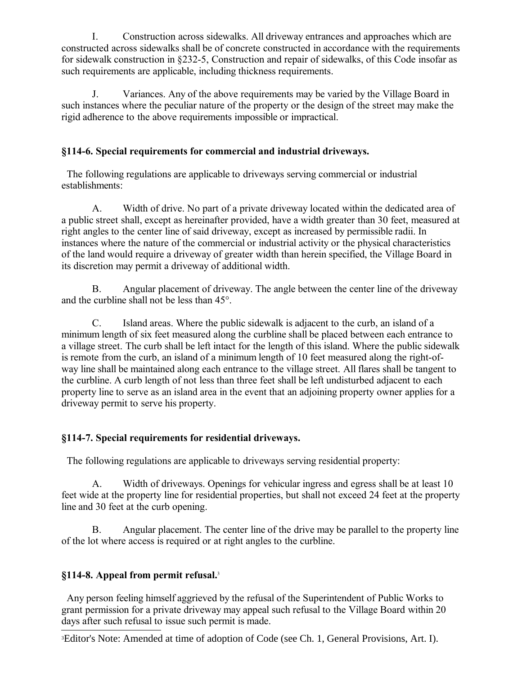I. Construction across sidewalks. All driveway entrances and approaches which are constructed across sidewalks shall be of concrete constructed in accordance with the requirements for sidewalk construction in §232-5, Construction and repair of sidewalks, of this Code insofar as such requirements are applicable, including thickness requirements.

J. Variances. Any of the above requirements may be varied by the Village Board in such instances where the peculiar nature of the property or the design of the street may make the rigid adherence to the above requirements impossible or impractical.

## **§114-6. Special requirements for commercial and industrial driveways.**

 The following regulations are applicable to driveways serving commercial or industrial establishments:

A. Width of drive. No part of a private driveway located within the dedicated area of a public street shall, except as hereinafter provided, have a width greater than 30 feet, measured at right angles to the center line of said driveway, except as increased by permissible radii. In instances where the nature of the commercial or industrial activity or the physical characteristics of the land would require a driveway of greater width than herein specified, the Village Board in its discretion may permit a driveway of additional width.

B. Angular placement of driveway. The angle between the center line of the driveway and the curbline shall not be less than 45°.

C. Island areas. Where the public sidewalk is adjacent to the curb, an island of a minimum length of six feet measured along the curbline shall be placed between each entrance to a village street. The curb shall be left intact for the length of this island. Where the public sidewalk is remote from the curb, an island of a minimum length of 10 feet measured along the right-ofway line shall be maintained along each entrance to the village street. All flares shall be tangent to the curbline. A curb length of not less than three feet shall be left undisturbed adjacent to each property line to serve as an island area in the event that an adjoining property owner applies for a driveway permit to serve his property.

## **§114-7. Special requirements for residential driveways.**

The following regulations are applicable to driveways serving residential property:

A. Width of driveways. Openings for vehicular ingress and egress shall be at least 10 feet wide at the property line for residential properties, but shall not exceed 24 feet at the property line and 30 feet at the curb opening.

B. Angular placement. The center line of the drive may be parallel to the property line of the lot where access is required or at right angles to the curbline.

# **§114-8. Appeal from permit refusal.**[3](#page-3-0)

 Any person feeling himself aggrieved by the refusal of the Superintendent of Public Works to grant permission for a private driveway may appeal such refusal to the Village Board within 20 days after such refusal to issue such permit is made.

<span id="page-3-0"></span>3Editor's Note: Amended at time of adoption of Code (see Ch. 1, General Provisions, Art. I).